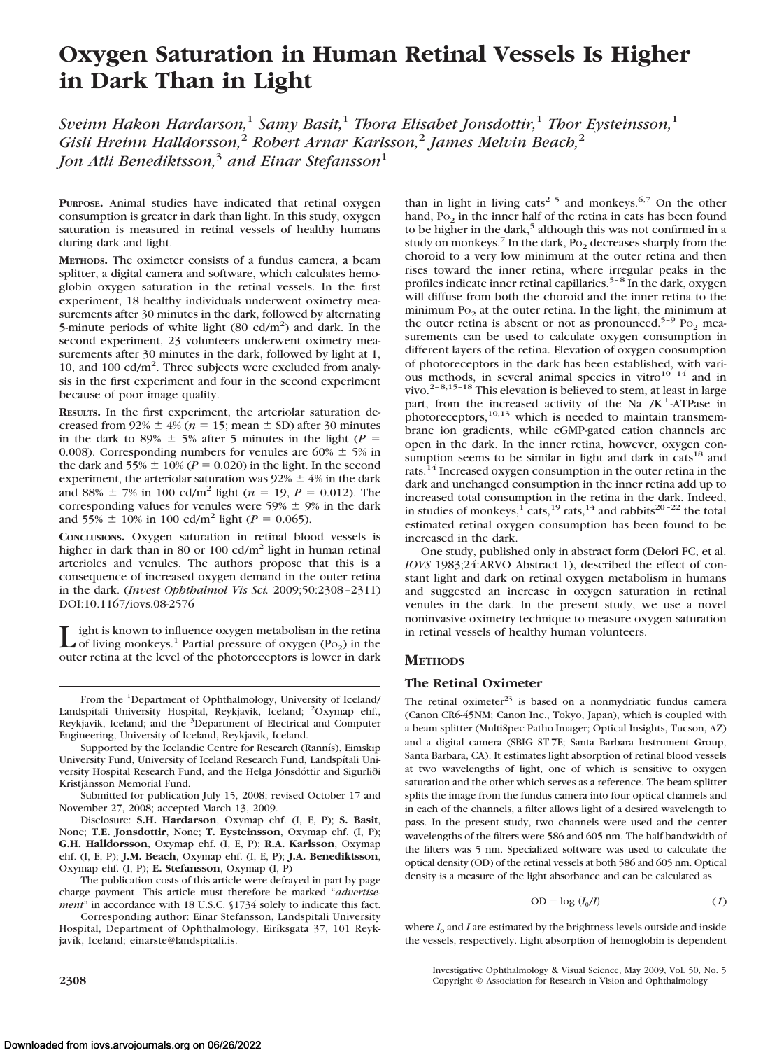# **Oxygen Saturation in Human Retinal Vessels Is Higher in Dark Than in Light**

*Sveinn Hakon Hardarson,*<sup>1</sup> *Samy Basit,*<sup>1</sup> *Thora Elisabet Jonsdottir,*<sup>1</sup> *Thor Eysteinsson,*<sup>1</sup> *Gisli Hreinn Halldorsson,*<sup>2</sup> *Robert Arnar Karlsson,*<sup>2</sup> *James Melvin Beach,*<sup>2</sup> *Jon Atli Benediktsson,*<sup>3</sup> *and Einar Stefansson*<sup>1</sup>

**PURPOSE.** Animal studies have indicated that retinal oxygen consumption is greater in dark than light. In this study, oxygen saturation is measured in retinal vessels of healthy humans during dark and light.

**METHODS.** The oximeter consists of a fundus camera, a beam splitter, a digital camera and software, which calculates hemoglobin oxygen saturation in the retinal vessels. In the first experiment, 18 healthy individuals underwent oximetry measurements after 30 minutes in the dark, followed by alternating 5-minute periods of white light  $(80 \text{ cd/m}^2)$  and dark. In the second experiment, 23 volunteers underwent oximetry measurements after 30 minutes in the dark, followed by light at 1, 10, and 100 cd/m<sup>2</sup>. Three subjects were excluded from analysis in the first experiment and four in the second experiment because of poor image quality.

**RESULTS.** In the first experiment, the arteriolar saturation decreased from  $92\% \pm 4\%$  ( $n = 15$ ; mean  $\pm$  SD) after 30 minutes in the dark to 89%  $\pm$  5% after 5 minutes in the light ( $P =$ 0.008). Corresponding numbers for venules are  $60\% \pm 5\%$  in the dark and  $55\% \pm 10\%$  ( $P = 0.020$ ) in the light. In the second experiment, the arteriolar saturation was  $92\% \pm 4\%$  in the dark and 88%  $\pm$  7% in 100 cd/m<sup>2</sup> light (*n* = 19, *P* = 0.012). The corresponding values for venules were 59%  $\pm$  9% in the dark and  $55\% \pm 10\%$  in 100 cd/m<sup>2</sup> light (*P* = 0.065).

**CONCLUSIONS.** Oxygen saturation in retinal blood vessels is higher in dark than in 80 or 100 cd/ $m<sup>2</sup>$  light in human retinal arterioles and venules. The authors propose that this is a consequence of increased oxygen demand in the outer retina in the dark. (*Invest Ophthalmol Vis Sci.* 2009;50:2308 –2311) DOI:10.1167/iovs.08-2576

Light is known to influence oxygen metabolism in the retina<br>of living monkeys.<sup>1</sup> Partial pressure of oxygen (Po<sub>2</sub>) in the outer retina at the level of the photoreceptors is lower in dark

From the <sup>1</sup>Department of Ophthalmology, University of Iceland/ Landspítali University Hospital, Reykjavik, Iceland; <sup>2</sup>Oxymap ehf., Reykjavik, Iceland; and the <sup>3</sup>Department of Electrical and Computer Engineering, University of Iceland, Reykjavik, Iceland.

Supported by the Icelandic Centre for Research (Rannís), Eimskip University Fund, University of Iceland Research Fund, Landspítali University Hospital Research Fund, and the Helga Jónsdóttir and Sigurliði Kristjánsson Memorial Fund.

Submitted for publication July 15, 2008; revised October 17 and November 27, 2008; accepted March 13, 2009.

Disclosure: **S.H. Hardarson**, Oxymap ehf. (I, E, P); **S. Basit**, None; **T.E. Jonsdottir**, None; **T. Eysteinsson**, Oxymap ehf. (I, P); **G.H. Halldorsson**, Oxymap ehf. (I, E, P); **R.A. Karlsson**, Oxymap ehf. (I, E, P); **J.M. Beach**, Oxymap ehf. (I, E, P); **J.A. Benediktsson**, Oxymap ehf. (I, P); **E. Stefansson**, Oxymap (I, P)

The publication costs of this article were defrayed in part by page charge payment. This article must therefore be marked "*advertisement*" in accordance with 18 U.S.C. §1734 solely to indicate this fact.

Corresponding author: Einar Stefansson, Landspitali University Hospital, Department of Ophthalmology, Eiríksgata 37, 101 Reykjavík, Iceland; einarste@landspitali.is.

than in light in living cats<sup>2-5</sup> and monkeys.<sup>6,7</sup> On the other hand,  $P<sub>0</sub>$  in the inner half of the retina in cats has been found to be higher in the dark,<sup>5</sup> although this was not confirmed in a study on monkeys.<sup>7</sup> In the dark,  $Po_2$  decreases sharply from the choroid to a very low minimum at the outer retina and then rises toward the inner retina, where irregular peaks in the profiles indicate inner retinal capillaries.<sup>5-8</sup> In the dark, oxygen will diffuse from both the choroid and the inner retina to the minimum  $Po<sub>2</sub>$  at the outer retina. In the light, the minimum at the outer retina is absent or not as pronounced.<sup>5-9</sup> Po<sub>2</sub> measurements can be used to calculate oxygen consumption in different layers of the retina. Elevation of oxygen consumption of photoreceptors in the dark has been established, with various methods, in several animal species in vitro<sup>10-14</sup> and in vivo.<sup>2-8,15-18</sup> This elevation is believed to stem, at least in large part, from the increased activity of the  $Na^+/K^+$ -ATPase in photoreceptors, $10,13$  which is needed to maintain transmembrane ion gradients, while cGMP-gated cation channels are open in the dark. In the inner retina, however, oxygen consumption seems to be similar in light and dark in cats<sup>18</sup> and rats.<sup>14</sup> Increased oxygen consumption in the outer retina in the dark and unchanged consumption in the inner retina add up to increased total consumption in the retina in the dark. Indeed, in studies of monkeys,<sup>1</sup> cats,<sup>19</sup> rats,<sup>14</sup> and rabbits<sup>20-22</sup> the total estimated retinal oxygen consumption has been found to be increased in the dark.

One study, published only in abstract form (Delori FC, et al. *IOVS* 1983;24:ARVO Abstract 1), described the effect of constant light and dark on retinal oxygen metabolism in humans and suggested an increase in oxygen saturation in retinal venules in the dark. In the present study, we use a novel noninvasive oximetry technique to measure oxygen saturation in retinal vessels of healthy human volunteers.

## **METHODS**

# **The Retinal Oximeter**

The retinal oximeter $^{23}$  is based on a nonmydriatic fundus camera (Canon CR6-45NM; Canon Inc., Tokyo, Japan), which is coupled with a beam splitter (MultiSpec Patho-Imager; Optical Insights, Tucson, AZ) and a digital camera (SBIG ST-7E; Santa Barbara Instrument Group, Santa Barbara, CA). It estimates light absorption of retinal blood vessels at two wavelengths of light, one of which is sensitive to oxygen saturation and the other which serves as a reference. The beam splitter splits the image from the fundus camera into four optical channels and in each of the channels, a filter allows light of a desired wavelength to pass. In the present study, two channels were used and the center wavelengths of the filters were 586 and 605 nm. The half bandwidth of the filters was 5 nm. Specialized software was used to calculate the optical density (OD) of the retinal vessels at both 586 and 605 nm. Optical density is a measure of the light absorbance and can be calculated as

$$
OD = \log (I_0/I) \tag{1}
$$

where  $I_0$  and *I* are estimated by the brightness levels outside and inside the vessels, respectively. Light absorption of hemoglobin is dependent

Investigative Ophthalmology & Visual Science, May 2009, Vol. 50, No. 5 **2308** Copyright © Association for Research in Vision and Ophthalmology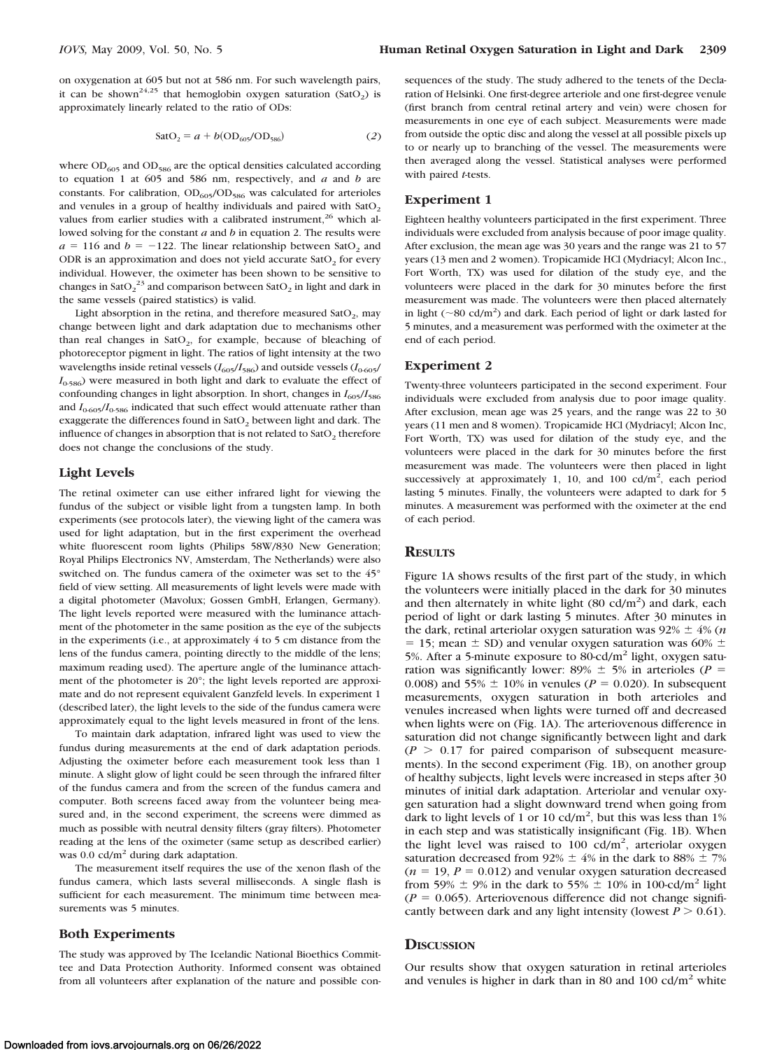on oxygenation at 605 but not at 586 nm. For such wavelength pairs, it can be shown<sup>24,25</sup> that hemoglobin oxygen saturation (SatO<sub>2</sub>) is approximately linearly related to the ratio of ODs:

$$
SatO_2 = a + b(OD_{605}/OD_{586})
$$
 (2)

where  $OD_{605}$  and  $OD_{586}$  are the optical densities calculated according to equation 1 at 605 and 586 nm, respectively, and *a* and *b* are constants. For calibration,  $OD<sub>605</sub>/OD<sub>586</sub>$  was calculated for arterioles and venules in a group of healthy individuals and paired with  $SatO<sub>2</sub>$ values from earlier studies with a calibrated instrument, $26$  which allowed solving for the constant *a* and *b* in equation 2. The results were  $a = 116$  and  $b = -122$ . The linear relationship between SatO<sub>2</sub> and ODR is an approximation and does not yield accurate  $SatO<sub>2</sub>$  for every individual. However, the oximeter has been shown to be sensitive to changes in Sat $O_2^2$  and comparison between Sat $O_2$  in light and dark in the same vessels (paired statistics) is valid.

Light absorption in the retina, and therefore measured  $SatO<sub>2</sub>$ , may change between light and dark adaptation due to mechanisms other than real changes in  $SatO<sub>2</sub>$ , for example, because of bleaching of photoreceptor pigment in light. The ratios of light intensity at the two wavelengths inside retinal vessels  $(I_{605}/I_{586})$  and outside vessels  $(I_{0605}/\!$  $I<sub>0-586</sub>$ ) were measured in both light and dark to evaluate the effect of confounding changes in light absorption. In short, changes in  $I_{605}/I_{586}$ and  $I_{0.605}/I_{0.586}$  indicated that such effect would attenuate rather than exaggerate the differences found in  $SatO<sub>2</sub>$  between light and dark. The influence of changes in absorption that is not related to  $SatO<sub>2</sub>$  therefore does not change the conclusions of the study.

#### **Light Levels**

The retinal oximeter can use either infrared light for viewing the fundus of the subject or visible light from a tungsten lamp. In both experiments (see protocols later), the viewing light of the camera was used for light adaptation, but in the first experiment the overhead white fluorescent room lights (Philips 58W/830 New Generation; Royal Philips Electronics NV, Amsterdam, The Netherlands) were also switched on. The fundus camera of the oximeter was set to the 45° field of view setting. All measurements of light levels were made with a digital photometer (Mavolux; Gossen GmbH, Erlangen, Germany). The light levels reported were measured with the luminance attachment of the photometer in the same position as the eye of the subjects in the experiments (i.e., at approximately 4 to 5 cm distance from the lens of the fundus camera, pointing directly to the middle of the lens; maximum reading used). The aperture angle of the luminance attachment of the photometer is 20°; the light levels reported are approximate and do not represent equivalent Ganzfeld levels. In experiment 1 (described later), the light levels to the side of the fundus camera were approximately equal to the light levels measured in front of the lens.

To maintain dark adaptation, infrared light was used to view the fundus during measurements at the end of dark adaptation periods. Adjusting the oximeter before each measurement took less than 1 minute. A slight glow of light could be seen through the infrared filter of the fundus camera and from the screen of the fundus camera and computer. Both screens faced away from the volunteer being measured and, in the second experiment, the screens were dimmed as much as possible with neutral density filters (gray filters). Photometer reading at the lens of the oximeter (same setup as described earlier) was  $0.0 \text{ cd/m}^2$  during dark adaptation.

The measurement itself requires the use of the xenon flash of the fundus camera, which lasts several milliseconds. A single flash is sufficient for each measurement. The minimum time between measurements was 5 minutes.

### **Both Experiments**

The study was approved by The Icelandic National Bioethics Committee and Data Protection Authority. Informed consent was obtained from all volunteers after explanation of the nature and possible consequences of the study. The study adhered to the tenets of the Declaration of Helsinki. One first-degree arteriole and one first-degree venule (first branch from central retinal artery and vein) were chosen for measurements in one eye of each subject. Measurements were made from outside the optic disc and along the vessel at all possible pixels up to or nearly up to branching of the vessel. The measurements were then averaged along the vessel. Statistical analyses were performed with paired *t*-tests.

#### **Experiment 1**

Eighteen healthy volunteers participated in the first experiment. Three individuals were excluded from analysis because of poor image quality. After exclusion, the mean age was 30 years and the range was 21 to 57 years (13 men and 2 women). Tropicamide HCl (Mydriacyl; Alcon Inc., Fort Worth, TX) was used for dilation of the study eye, and the volunteers were placed in the dark for 30 minutes before the first measurement was made. The volunteers were then placed alternately in light ( $\sim$ 80 cd/m<sup>2</sup>) and dark. Each period of light or dark lasted for 5 minutes, and a measurement was performed with the oximeter at the end of each period.

#### **Experiment 2**

Twenty-three volunteers participated in the second experiment. Four individuals were excluded from analysis due to poor image quality. After exclusion, mean age was 25 years, and the range was 22 to 30 years (11 men and 8 women). Tropicamide HCl (Mydriacyl; Alcon Inc, Fort Worth, TX) was used for dilation of the study eye, and the volunteers were placed in the dark for 30 minutes before the first measurement was made. The volunteers were then placed in light successively at approximately 1, 10, and 100  $cd/m<sup>2</sup>$ , each period lasting 5 minutes. Finally, the volunteers were adapted to dark for 5 minutes. A measurement was performed with the oximeter at the end of each period.

# **RESULTS**

Figure 1A shows results of the first part of the study, in which the volunteers were initially placed in the dark for 30 minutes and then alternately in white light  $(80 \text{ cd/m}^2)$  and dark, each period of light or dark lasting 5 minutes. After 30 minutes in the dark, retinal arteriolar oxygen saturation was  $92\% \pm 4\%$  (*n*  $=$  15; mean  $\pm$  SD) and venular oxygen saturation was 60%  $\pm$ 5%. After a 5-minute exposure to 80-cd/ $m<sup>2</sup>$  light, oxygen saturation was significantly lower: 89%  $\pm$  5% in arterioles ( $P =$ 0.008) and 55%  $\pm$  10% in venules ( $P = 0.020$ ). In subsequent measurements, oxygen saturation in both arterioles and venules increased when lights were turned off and decreased when lights were on (Fig. 1A). The arteriovenous difference in saturation did not change significantly between light and dark  $(P > 0.17)$  for paired comparison of subsequent measurements). In the second experiment (Fig. 1B), on another group of healthy subjects, light levels were increased in steps after 30 minutes of initial dark adaptation. Arteriolar and venular oxygen saturation had a slight downward trend when going from dark to light levels of 1 or 10  $cd/m^2$ , but this was less than 1% in each step and was statistically insignificant (Fig. 1B). When the light level was raised to  $100 \text{ cd/m}^2$ , arteriolar oxygen saturation decreased from 92%  $\pm$  4% in the dark to 88%  $\pm$  7%  $(n = 19, P = 0.012)$  and venular oxygen saturation decreased from 59%  $\pm$  9% in the dark to 55%  $\pm$  10% in 100-cd/m<sup>2</sup> light  $(P = 0.065)$ . Arteriovenous difference did not change significantly between dark and any light intensity (lowest  $P > 0.61$ ).

#### **DISCUSSION**

Our results show that oxygen saturation in retinal arterioles and venules is higher in dark than in 80 and 100  $cd/m<sup>2</sup>$  white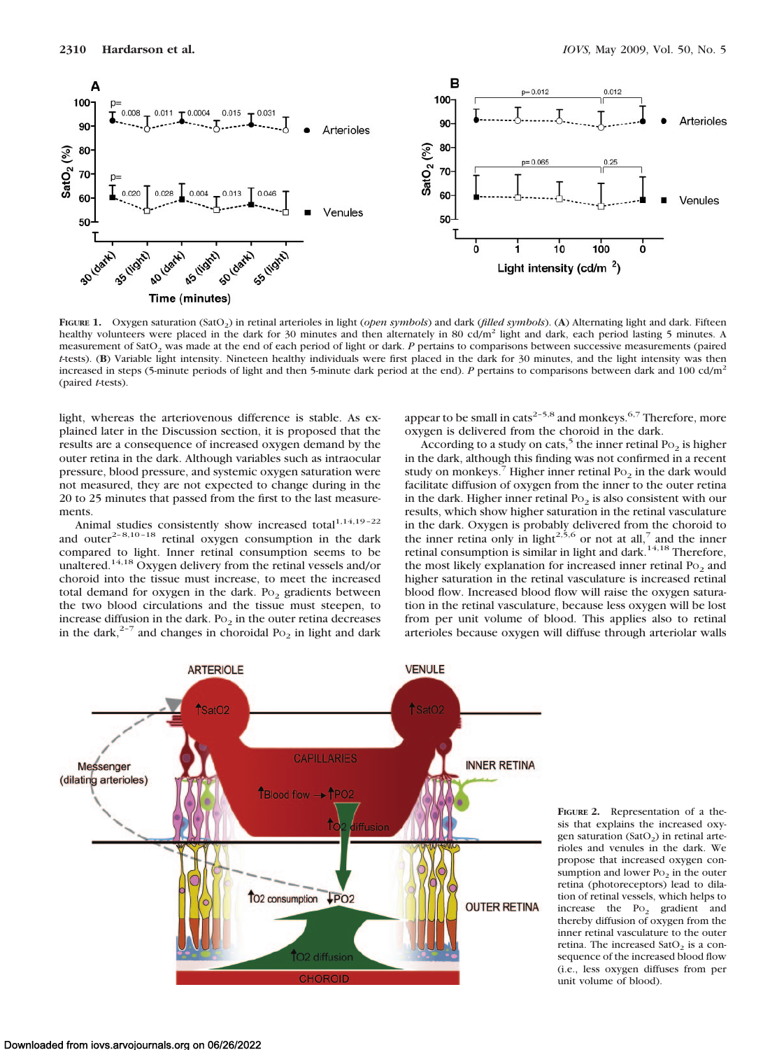

**FIGURE 1.** Oxygen saturation (SatO2) in retinal arterioles in light (*open symbols*) and dark (*filled symbols*). (**A**) Alternating light and dark. Fifteen healthy volunteers were placed in the dark for 30 minutes and then alternately in 80 cd/m<sup>2</sup> light and dark, each period lasting 5 minutes. A measurement of SatO<sub>2</sub> was made at the end of each period of light or dark. *P* pertains to comparisons between successive measurements (paired *t*-tests). (**B**) Variable light intensity. Nineteen healthy individuals were first placed in the dark for 30 minutes, and the light intensity was then increased in steps (5-minute periods of light and then 5-minute dark period at the end). *P* pertains to comparisons between dark and 100 cd/m<sup>2</sup> (paired *t*-tests).

light, whereas the arteriovenous difference is stable. As explained later in the Discussion section, it is proposed that the results are a consequence of increased oxygen demand by the outer retina in the dark. Although variables such as intraocular pressure, blood pressure, and systemic oxygen saturation were not measured, they are not expected to change during in the 20 to 25 minutes that passed from the first to the last measurements.

Animal studies consistently show increased total $1,14,19-22$ and outer<sup>2-8,10-18</sup> retinal oxygen consumption in the dark compared to light. Inner retinal consumption seems to be unaltered.<sup>14,18</sup> Oxygen delivery from the retinal vessels and/or choroid into the tissue must increase, to meet the increased total demand for oxygen in the dark. Po<sub>2</sub> gradients between the two blood circulations and the tissue must steepen, to increase diffusion in the dark. Po<sub>2</sub> in the outer retina decreases in the dark,<sup>2-7</sup> and changes in choroidal Po<sub>2</sub> in light and dark appear to be small in cats<sup>2-5,8</sup> and monkeys.<sup>6,7</sup> Therefore, more oxygen is delivered from the choroid in the dark.

According to a study on cats,<sup>5</sup> the inner retinal Po<sub>2</sub> is higher in the dark, although this finding was not confirmed in a recent study on monkeys.<sup>7</sup> Higher inner retinal  $P_0$  in the dark would facilitate diffusion of oxygen from the inner to the outer retina in the dark. Higher inner retinal  $Po<sub>2</sub>$  is also consistent with our results, which show higher saturation in the retinal vasculature in the dark. Oxygen is probably delivered from the choroid to the inner retina only in light<sup>2,5,6</sup> or not at all,<sup>7</sup> and the inner retinal consumption is similar in light and dark.<sup>14,18</sup> Therefore, the most likely explanation for increased inner retinal  $Po<sub>2</sub>$  and higher saturation in the retinal vasculature is increased retinal blood flow. Increased blood flow will raise the oxygen saturation in the retinal vasculature, because less oxygen will be lost from per unit volume of blood. This applies also to retinal arterioles because oxygen will diffuse through arteriolar walls



**FIGURE 2.** Representation of a thesis that explains the increased oxygen saturation (SatO<sub>2</sub>) in retinal arterioles and venules in the dark. We propose that increased oxygen consumption and lower  $Po_2$  in the outer retina (photoreceptors) lead to dilation of retinal vessels, which helps to increase the  $P_{O_2}$  gradient and thereby diffusion of oxygen from the inner retinal vasculature to the outer retina. The increased  $SatO<sub>2</sub>$  is a consequence of the increased blood flow (i.e., less oxygen diffuses from per unit volume of blood).